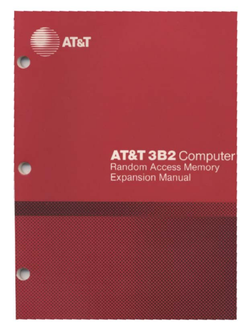

# **AT&T 3B2** Computer<br>Random Access Memory **Expansion Manual**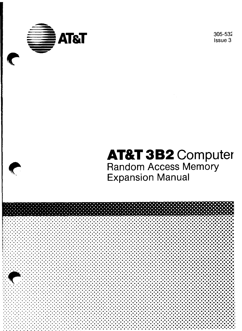

305-532 Issue 3

# **AT&T 3B2 Computer Random Access Memory Expansion Manual**

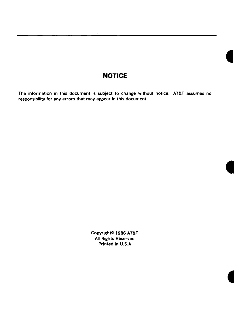#### **NOTICE**

The information in this document is subject to change without notice. AT&T assumes no responsibility for any errors that may appear in this document.

> Copyright<sup>®</sup> 1986 AT&T All Rights Reserved Printed in U.S.A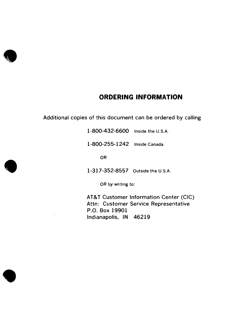

•

#### **ORDERING INFORMATION**

Additional copies of this document can be ordered by calling

**1-800-432-6600** Inside the U.S.A.

**1-800-255-1242** Inside Canada

OR

1-317-352-855 7 Outside the U.S.A.

OR by writing to:

AT&T Customer Information Center (CIC) Attn: Customer Service Representative P.O. Box 19901 Indianapolis, IN 46219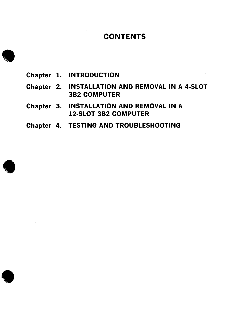### **CONTENTS**

**1** Chapter 1. INTRODUCTION

•

**•** 

- Chapter 2. INSTALLATION AND REMOVAL IN A 4-SLOT 382 COMPUTER
- Chapter 3. INSTALLATION AND REMOVAL IN A 12-SLOT 382 COMPUTER
- Chapter 4. TESTING AND TROUBLESHOOTING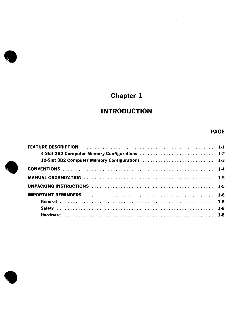# **Chapter 1**

### **INTRODUCTION**

#### PAGE

| 4-Slot 3B2 Computer Memory Configurations  1-2 |  |
|------------------------------------------------|--|
|                                                |  |
|                                                |  |
|                                                |  |
|                                                |  |
|                                                |  |
|                                                |  |
|                                                |  |
|                                                |  |



**•** 

•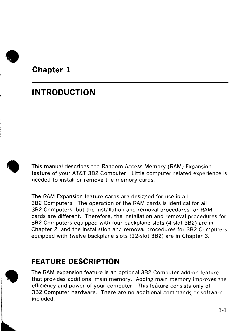

**Chapter 1** 

# **INTRODUCTION**



This manual describes the Random Access Memory (RAM) Expansion feature of your AT&T 382 Computer. Little computer related experience is needed to install or remove the memory cards.

The RAM Expansion feature cards are designed for use in all 382 Computers. The operation of the RAM cards is identical for all 382 Computers, but the installation and removal procedures for RAM cards are different. Therefore, the installation and removal procedures for 382 Computers equipped with four backplane slots (4-slot 382) are in Chapter 2, and the installation and removal procedures for 382 Computers equipped with twelve backplane slots ( 12-slot 382) are in Chapter 3.

## **FEATURE DESCRIPTION**

**•** The RAM expansion feature is an optional 382 Computer add-on feature that provides additional main memory. Adding main memory improves the efficiency and power of your computer. This feature consists only of 3B2 Computer hardware. There are no additional commands or software included.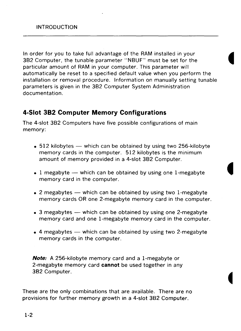In order for you to take full advantage of the RAM installed in your 382 Computer, the tunable parameter "N8UF" must be set for the particular amount of RAM in your computer. This parameter will automatically be reset to a specified default value when you perform the installation or removal procedure. Information on manually setting tunable parameters is given in the 382 Computer System Administration documentation.

#### **4-Slot 382 Computer Memory Configurations**

The 4-slot 382 Computers have five possible configurations of main memory:

- 512 kilobytes which can be obtained by using two 256-kilobyte memory cards in the computer. 512 kilobytes is the minimum amount of memory provided in a 4-slot 382 Computer.
- 1 megabyte  $-$  which can be obtained by using one 1-megabyte memory card in the computer.
- 2 megabytes which can be obtained by using two 1-megabyte memory cards OR one 2-megabyte memory card in the computer.
- 3 megabytes  $-$  which can be obtained by using one 2-megabyte memory card and one I-megabyte memory card in the computer.
- 4 megabytes  $-$  which can be obtained by using two 2-megabyte memory cards in the computer.

**Note:** A 256-kilobyte memory card and a I-megabyte or 2-megabyte memory card **cannot** be used together in any 382 Computer.

These are the only combinations that are available. There are no provisions for further memory growth in a 4-slot 382 Computer.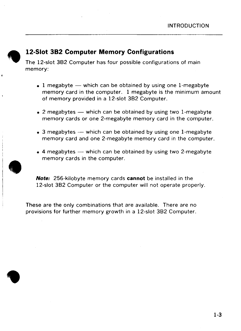

### **12-Slot 382 Computer Memory Configurations**

The 12-slot 382 Computer has four possible configurations of main memory:

- 1 megabyte  $-$  which can be obtained by using one 1-megabyte memory card in the computer. 1 megabyte is the minimum amount of memory provided in a 12-slot 382 Computer.
- 2 megabytes  $-$  which can be obtained by using two 1-megabyte memory cards or one 2-megabyte memory card in the computer.
- 3 megabytes  $-$  which can be obtained by using one 1-megabyte memory card and one 2-megabyte memory card in the computer.
- 4 megabytes  $-$  which can be obtained by using two 2-megabyte memory cards in the computer.



•

**Note:** 256-kilobyte memory cards **cannot** be installed in the 12-slot 382 Computer or the computer will not operate properly.

These are the only combinations that are available. There are no provisions for further memory growth in a 12-slot 382 Computer .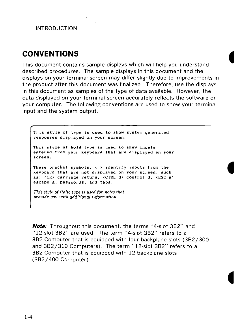# **CONVENTIONS**

This document contains sample displays which will help you understand described procedures. The sample displays in this document and the displays on your terminal screen may differ slightly due to improvements in the product after this document was finalized. Therefore, use the displays in this document as samples of the type of data available. However, the data displayed on your terminal screen accurately reflects the software on your computer. The following conventions are used to show your terminal input and the system output.

This style of type is used to show system generated responses displayed on your screen. **This style of bold type is used to show inputs entered from your keyboard that are displayed on your screen.**  These bracket symbols,  $\langle \rangle$  identify inputs from the keyboard that are not displayed on your screen, such as:  $\langle CR \rangle$  carriage return,  $\langle CTRL \rangle$  d  $\langle CTRL \rangle$  d,  $\langle ESC \rangle$ escape g, passwords, and tabs.

*This style of italic type is used for notes that provide you with additional information.* 

**Note:** Throughout this document, the terms "4-slot 382" and "12-slot 382" are used. The term "4-slot 382" refers to a 382 Computer that is equipped with four backplane slots (382/300 and 382/310 Computers). The term "12-slot 382" refers to a 382 Computer that is equipped with 12 backplane slots (382/ 400 Computer).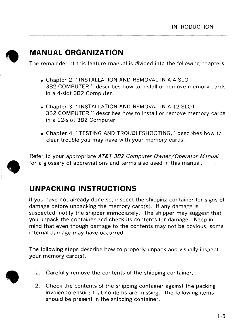

•

# **MANUAL ORGANIZATION**

The remainder of this feature manual is divided into the following chapters:

- Chapter 2, "INSTALLATION AND REMOVAL **IN** A 4-SLOT 3B2 COMPUTER," describes how to install or remove memory cards in a 4-slot 3B2 Computer.
- Chapter 3, "INSTALLATION AND REMOVAL **IN** A 12-SLOT 3B2 COMPUTER," describes how to install or remove memory cards in a 12-slot 3B2 Computer.
- Chapter 4, "TESTING AND TROUBLESHOOTING," describes how to clear trouble you may have with your memory cards.

 $\begin{array}{c}\nF \\
\hline\n\end{array}$ Refer to your appropriate AT&T 3B2 Computer Owner/Operator Manual for a glossary of abbreviations and terms also used in this manual.

# **UNPACKING INSTRUCTIONS**

If you have not already done so, inspect the shipping container for signs of damage before unpacking the memory card(s). If any damage is suspected, notify the shipper immediately. The shipper may suggest that you unpack the container and check its contents for damage. Keep in mind that even though damage to the contents may not be obvious, some internal damage may have occurred.

The following steps describe how to properly unpack and visually inspect your memory card(s).

- 1. Carefully remove the contents of the shipping container .
- 2. Check the contents of the shipping container against the packing invoice to ensure that no items are missing. The following items should be present in the shipping container.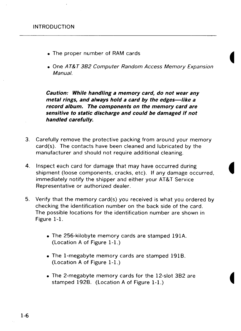- The proper number of **RAM** cards
- One AT&T 382 Computer Random Access Memory Expansion Manual.

**Caution: While handling a memory card, do not wear any**  metal rings, and always hold a card by the edges-like a **record album. The components on the memory card are sensitive to static discharge and could be damaged if not handled carefully.** 

- 3. Carefully remove the protective packing from around your memory card(s). The contacts have been cleaned and lubricated by the manufacturer and should not require additional cleaning.
- **4.** Inspect each card for damage that may have occurred during shipment (loose components, cracks, etc). If any damage occurred, immediately notify the shipper and either your AT&T Service Representative or authorized dealer.
- 5. Verify that the memory card(s) you received is what you ordered by checking the identification number on the back side of the card. The possible locations for the identification number are shown in Figure 1-1.
	- The 256-kilobyte memory cards are stamped 191A. (Location A of Figure 1-1.)
	- The 1-megabyte memory cards are stamped 191B. (Location A of Figure 1-1.)
	- The 2-megabyte memory cards for the 12-slot 382 are stamped 1928. (Location A of Figure **1-1.)**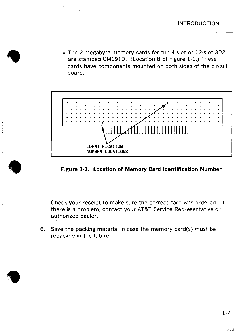• The 2-megabyte memory cards for the 4-slot or 12-slot 382 are stamped CM191D. (Location B of Figure 1-1.) These cards have components mounted on both sides of the circuit board.

**•** 

**•** 

**•** 



**Figure 1-1. Location of Memory Card Identification Number** 

Check your receipt to make sure the correct card was ordered. If there is a problem, contact your AT&T Service Representative or authorized dealer.

6. Save the packing material in case the memory card(s) must be repacked in the future.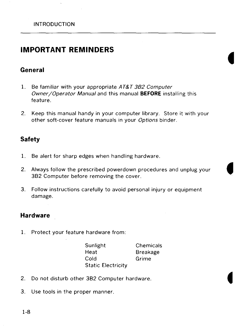### **IMPORTANT REMINDERS**

#### **General**

- 1. Be familiar with your appropriate AT&T 3B2 Computer Owner /Operator Manual and this manual **BEFORE** installing this feature.
- 2. Keep this manual handy in your computer library. Store it with your other soft-cover feature manuals in your Options binder.

#### **Safety**

- 1. Be alert for sharp edges when handling hardware.
- 2. Always follow the prescribed powerdown procedures and unplug your 382 Computer before removing the cover.
- 3. Follow instructions carefully to avoid personal injury or equipment damage.

#### **Hardware**

1. Protect your feature hardware from:

Sunlight **Heat** Cold Static Electricity **Chemicals** Breakage Grime

- 2. Do not disturb other 382 Computer hardware.
- 3. Use tools in the proper manner.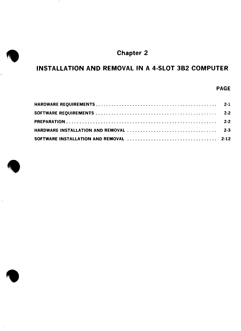

### INSTALLATION AND REMOVAL IN A 4-SLOT 382 COMPUTER

#### PAGE



 $\sim$ 

**•**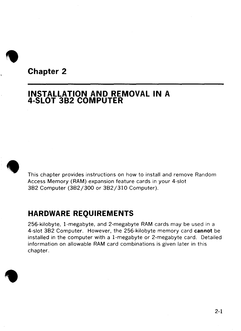

# **Chapter 2**

### **INSTALLATION AND REMOVAL IN A 4-SLOT 3B2 COMPUTER**



This chapter provides instructions on how to install and remove Random Access Memory (RAM) expansion feature cards in your 4-slot 3B2 Computer (3B2/300 or 3B2/310 Computer).

## **HARDWARE REQUIREMENTS**

256-kilobyte, 1-megabyte, and 2-megabyte RAM cards may be used in a 4-slot 3B2 Computer. However, the 256-kilobyte memory card **cannot** be installed in the computer with a 1-megabyte or 2-megabyte card. Detailed information on allowable **RAM** card combinations is given later in this chapter .

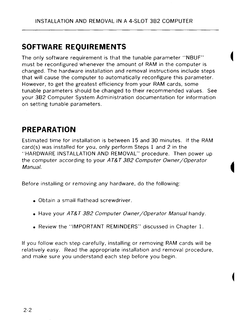# **SOFTWARE REQUIREMENTS**

The only software requirement is that the tunable parameter "NBUF" must be reconfigured whenever the amount of RAM in the computer is changed. The hardware installation and removal instructions include steps that will cause the computer to automatically reconfigure this parameter. However, to get the greatest efficiency from your RAM cards, some tunable parameters should be changed to their recommended values. See your 3B2 Computer System Administration documentation for information on setting tunable parameters.

# **PREPARATION**

Estimated time for installation is between 15 and 30 minutes. If the RAM card(s) was installed for you, only perform Steps 1 and 2 in the "HARDWARE INSTALLATION AND REMOVAL" procedure. Then power up the computer according to your AT&T 3B2 Computer Owner/Operator Manual.

Before installing or removing any hardware, do the following:

- Obtain a small flathead screwdriver.
- Have your AT&T 3B2 Computer Owner/Operator Manual handy.
- Review the "IMPORTANT REMINDERS" discussed in Chapter 1.

If you follow each step carefully, installing or removing **RAM** cards will be relatively easy. Read the appropriate installation and removal procedure, and make sure you understand each step before you begin.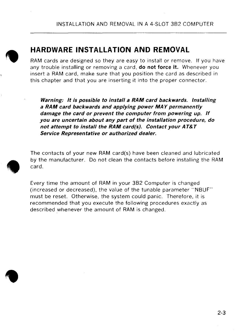

•

# **HARDWARE INSTALLATION AND REMOVAL**

RAM cards are designed so they are easy to install or remove. If you have any trouble installing or removing a card, **do not force it.** Whenever you insert a RAM card, make sure that you position the card as described in this chapter and that you are inserting it into the proper connector.

**Warning: It is possible to install a RAM card backwards. Installing a RAM card backwards and applying power MAY permanently damage the card or prevent the computer from powering up.** *If*  **you are uncertain about any part of the installation procedure, do not attempt to install the RAM card(s}. Contact your AT&T Service Representative or authorized dealer.** 

The contacts of your new RAM card(s) have been cleaned and lubricated by the manufacturer. Do not clean the contacts before installing the RAM card.

 $\begin{array}{c}\n\bullet & \bullet \\
\bullet & \bullet \\
\bullet & \bullet \\
\bullet\n\end{array}$ Every time the amount of RAM in your 3B2 Computer is changed (increased or decreased), the value of the tunable parameter "NBUF" must be reset. Otherwise, the system could panic. Therefore, it is recommended that you execute the following procedures exactly as described \_whenever the amount of **RAM** is changed .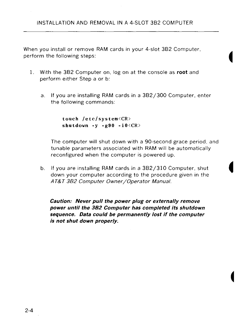When you install or remove **RAM** cards in your 4-slot 3B2 Computer, perform the following steps:

- 1. With the 3B2 Computer on, log on at the console as **root** and perform either Step a or b:
	- a. If you are installing RAM cards in a 3B2/3OO Computer, enter the following commands:

**touch /etc/system<CR> shutdown -y -g90 -iO<CR>** 

The computer will shut down with a 9O-second grace period, and tunable parameters associated with RAM will be automatically reconfigured when the computer is powered up.

b. If you are installing RAM cards in a 3B2/310 Computer, shut down your computer according to the procedure given in the AT&T 382 Computer Owner /Operator Manual.

**Caution: Never pull the power plug or externally remove power until the 382 Computer has completed its shutdown sequence. Data could be permanently lost if the computer is not shut down properly.**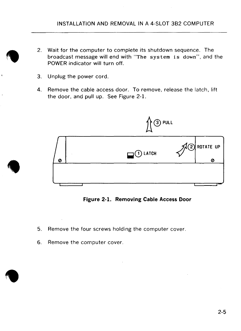- 2. Wait for the computer to complete its shutdown sequence. The broadcast message will end with "The system is down", and the POWER indicator will turn off.
- 3. Unplug the power cord.

 $\bullet$ 

•

4. Remove the cable access door. To remove, release the latch, lift the door, and pull up. See Figure 2-1.



**Figure 2-1. Removing Cable Access Door** 

- 5. Remove the four screws holding the computer cover.
- 6. Remove the computer cover .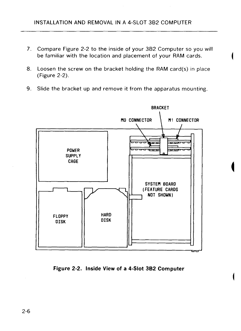- 7. Compare Figure 2-2 to the inside of your 382 Computer so you will be familiar with the location and placement of your RAM cards.
- 8. Loosen the screw on the bracket holding the RAM card(s) in place (Figure 2-2).
- 9. Slide the bracket up and remove it from the apparatus mounting.



**Figure 2-2. Inside View of a 4-Slot 3B2 Computer**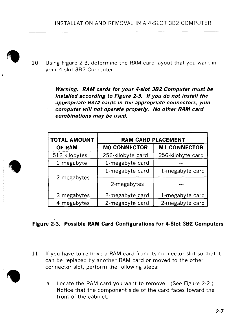- **FREE** 
	- 10. Using Figure 2-3, determine the RAM card layout that you want in your 4-slot 3B2 Computer.

**Warning: RAM cards for your 4-slot 382 Computer must be installed according to Figure 2-3.** *If* **you do not install the appropriate RAM cards in the appropriate connectors, your computer** *will* **not operate properly. No other RAM card combinations may be used.** 

| <b>TOTAL AMOUNT</b> | <b>RAM CARD PLACEMENT</b> |                     |  |  |
|---------------------|---------------------------|---------------------|--|--|
| OF RAM              | <b>MO CONNECTOR</b>       | <b>M1 CONNECTOR</b> |  |  |
| 512 kilobytes       | 256-kilobyte card         | 256-kilobyte card   |  |  |
| 1 megabyte          | 1-megabyte card           |                     |  |  |
|                     | 1-megabyte card           | 1-megabyte card     |  |  |
| 2 megabytes         | 2-megabytes               |                     |  |  |
| 3 megabytes         | 2-megabyte card           | 1-megabyte card     |  |  |
| 4 megabytes         | 2-megabyte card           | 2-megabyte card     |  |  |

#### Figure 2-3. Possible RAM Card Configurations for 4-Slot 3B<sub>2</sub> Computers

- 11. If you have to remove a RAM card from its connector slot so that it can be replaced by another RAM card or moved to the other connector slot, perform the following steps:
	- a. Locate the RAM card you want to remove. (See Figure 2-2.) Notice that the component side of the card faces toward the front of the cabinet.



**•** 

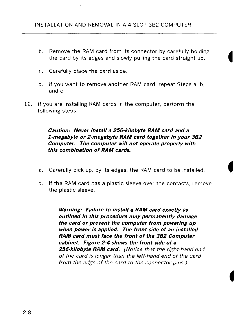- b. Remove the RAM card from its connector by carefully holding the card by its edges and slowly pulling the card straight up.
- c. Carefully place the card aside.
- d. If you want to remove another **RAM** card, repeat Steps a, b, and c.
- 12. If you are installing **RAM** cards in the computer, perform the following steps:

**Caution: Never install a 256-kilobyte RAM card and a I-megabyte or 2-megabyte RAM card together in your 382 Computer. The computer will not operate properly with this combination of RAM cards.** 

- a. Carefully pick up, by its edges, the RAM card to be installed.
- b. If the RAM card has a plastic sleeve over the contacts, remove the plastic sleeve.

**Warning: Failure to install a RAM card exactly as outlined in this procedure may permanently damage the card or prevent the computer from powering up when power is applied. The front side of an installed RAM card must face the front of the 382 Computer cabinet. Figure 2-4 shows the front side of a 256-kilobyte RAM card.** (Notice that the right-hand end of the card is longer than the left-hand end of the card from the edge of the card to the connector pins.)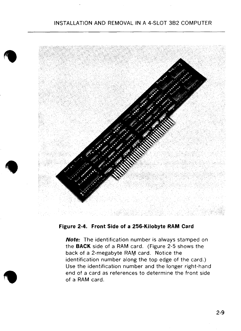#### INSTALLATION AND REMOVAL IN A 4-SLOT 382 COMPUTER



**Figure 2-4. Front Side of a 256-Kilobyte RAM Card** 

**Note:** The identification number is always stamped on the **BACK** side of a RAM card. (Figure 2-5 shows the back of a 2-megabyte RAM card. Notice the identification number along the top edge of the card.) Use the identification number and the longer right-hand end of a card as references to determine the front side of a **RAM** card.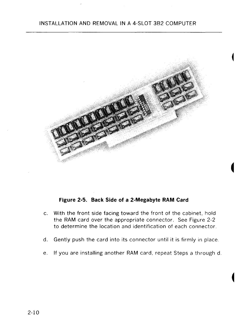#### INSTALLATION AND REMOVAL IN A 4-SLOT 382 COMPUTER



#### **Figure 2-5. Back Side of a 2-Megabyte RAM Card**

- c. With the front side facing toward the front of the cabinet, hold the RAM card over the appropriate connector. See Figure 2-2 to determine the location and identification of each connector.
- d. Gently push the card into its connector until it is firmly in place.
- e. If you are installing another **RAM** card, repeat Steps a through d.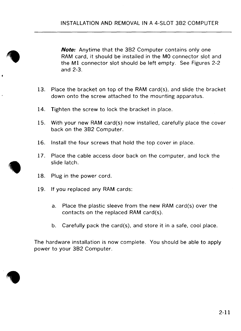**Note:** Anytime that the 3B2 Computer contains only one RAM card, it should be installed in the MO connector slot and the **Ml** connector slot should be left empty. See Figures 2-2 and 2-3.

- 13. Place the bracket on top of the **RAM** card(s), and slide the bracket down onto the screw attached to the mounting apparatus.
- 14. Tighten the screw to lock the bracket in place.
- 15. With your new RAM card(s) now installed, carefully place the cover back on the 3B2 Computer.
- 16. Install the four screws that hold the top cover in place.
- 17. Place the cable access door back on the computer, and lock the slide latch.
- 18. Plug in the power cord.
- 19. If you replaced any RAM cards:
	- a. Place the plastic sleeve from the new RAM card(s) over the contacts on the replaced RAM card(s).
	- b. Carefully pack the card(s), and store it in a safe, cool place.

The hardware installation is now complete. You should be able to apply power to your 3B2 Computer.

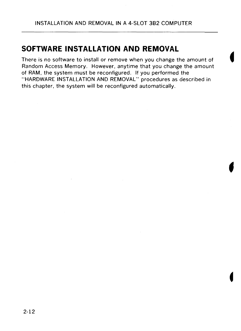# **SOFTWARE INSTALLATION AND REMOVAL**

There is no software to install or remove when you change the amount of Random Access Memory. However, anytime that you change the amount of RAM, the system must be reconfigured. If you performed the "HARDWARE INSTALLATION AND REMOVAL" procedures as described in this chapter, the system will be reconfigured automatically.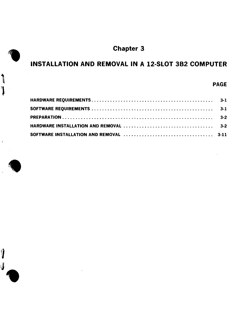

### INSTALLATION AND REMOVAL IN A 12-SLOT 382 COMPUTER

#### PAGE



 $\mathbf j$ 

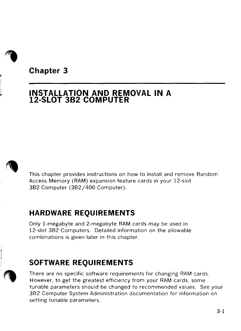

**Chapter 3** 

### **INSTALLATION AND REMOVAL IN A 12-SLOT 382 COMPUTER**



This chapter provides instructions on how to install and remove Random Access Memory ( RAM) expansion feature cards in your 12-slot 382 Computer (382/ 400 Computer).

## **HARDWARE REQUIREMENTS**

Only I-megabyte and 2-megabyte RAM cards may be used in 12-slot 382 Computers. Detailed information on the allowable combinations is given later in this chapter.

# **SOFTWARE REQUIREMENTS**

There are no specific software requirements for changing RAM cards. However, to get the greatest efficiency from your RAM cards, some tunable parameters should be changed to recommended values. See your 382 Computer System Administration documentation for information on setting tunable parameters.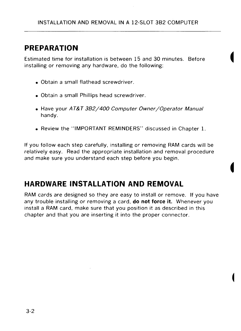# **PREPARATION**

Estimated time for installation is between 15 and 30 minutes. Before installing or removing any hardware, do the following:

- Obtain a small flathead screwdriver.
- Obtain a small Phillips head screwdriver.
- Have your AT&T 3B2/400 Computer Owner/Operator Manual handy.
- Review the "IMPORTANT REMINDERS" discussed in Chapter 1.

If you follow each step carefully, installing or removing RAM cards will be relatively easy. Read the appropriate installation and removal procedure and make sure you understand each step before you begin.

# **HARDWARE INSTALLATION AND REMOVAL**

RAM cards are designed so they are easy to install or remove. If you have any trouble installing or removing a card, **do not force it.** Whenever you install a RAM card, make sure that you position it as described in this chapter and that you are inserting it into the proper connector.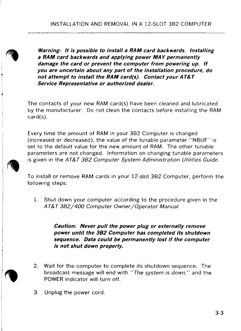**Warning: It is possible to install a RAM card backwards. Installing a RAM card backwards and applying power MAY permanently damage the card or prevent the computer from powering up.** *If*  **you are uncertain about any part of the installation procedure, do not attempt to install the RAM card(s). Contact your AT&T Service Representative or authorized dealer.** 

The contacts of your new RAM card(s) have been cleaned and lubricated by the manufacturer. Do not clean the contacts before installing the RAM card(s).

Every time the amount of RAM in your 382 Computer is changed (increased or decreased), the value of the tunable parameter "N8UF" is set to the default value for the new amount of RAM. The other tunable parameters are not changed. Information on changing tunable parameters is given in the AT&T 382 Computer System Administration Utilities Guide.

To install or remove **RAM** cards in your 12-slot 382 Computer, perform the following steps:

1. Shut down your computer according to the procedure given in the AT&T 382/400 Computer Owner/Operator Manual.

> **Caution: Never pull the power plug or externally remove power until the 382 Computer has completed its shutdown sequence. Data could be permanently lost if the computer is not shut down properly.**

- 2. Wait for the computer to complete its shutdown sequence. The broadcast message will end with "The system is down," and the POWER indicator will turn off.
- 3. Unplug the power cord.

**t'I**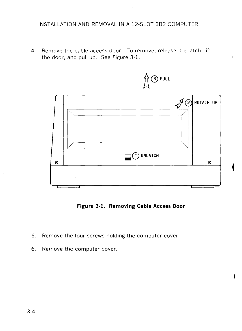4. Remove the cable access door. To remove, release the latch, lift the door, and pull up. See Figure 3-1.



**Figure 3-1. Removing Cable Access Door** 

- 5. Remove the four screws holding the computer cover.
- 6. Remove the computer cover.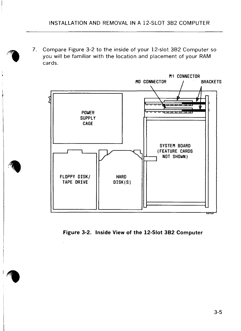7. Compare Figure 3-2 to the inside of your 12-slot 382 Computer so you will be familiar with the location and placement of your RAM cards.



**Figure 3-2. Inside View of the 12-Slot 3B2 Computer**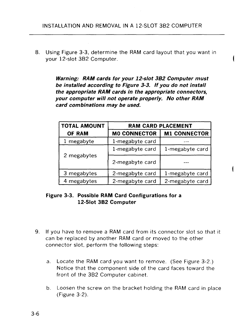8. Using Figure 3-3, determine the RAM card layout that you want in your 12-slot 3B2 Computer.

> **Warning: RAM cards for your 12-slot 382 Computer must be installed according to Figure 3-3.** *If* **you do not install the appropriate RAM cards in the appropriate connectors, your computer** *will* **not operate prqperly. No other RAM card combinations may be used.**

| <b>TOTAL AMOUNT</b> | <b>RAM CARD PLACEMENT</b> |                     |  |  |  |
|---------------------|---------------------------|---------------------|--|--|--|
| <b>OF RAM</b>       | <b>MO CONNECTOR</b>       | <b>M1 CONNECTOR</b> |  |  |  |
| 1 megabyte          | 1-megabyte card           |                     |  |  |  |
|                     | 1-megabyte card           | 1-megabyte card     |  |  |  |
| 2 megabytes         | 2-megabyte card           |                     |  |  |  |
| 3 megabytes         | 2-megabyte card           | 1-megabyte card     |  |  |  |
| 4 megabytes         | 2-megabyte card           | 2-megabyte card     |  |  |  |

#### **Figure 3-3. Possible RAM Card Configurations for a 12-Slot 3B2 Computer**

- 9. If you have to remove a **RAM** card from its connector slot so that it can be replaced by another **RAM** card or moved to the other connector slot, perform the following steps:
	- a. Locate the RAM card you want to remove. (See Figure 3-2.) Notice that the component side of the card faces toward the front of the 3B2 Computer cabinet.
	- b. Loosen the screw on the bracket holding the RAM card in place (Figure 3-2).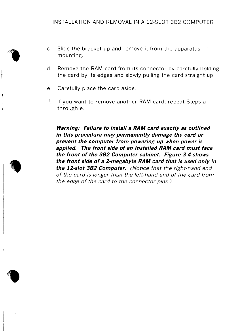- c. Slide the bracket up and remove it from the apparatus mounting.
- d. Remove the RAM card from its connector by carefully holding the card by its edges and slowly pulling the card straight up.
- e. Carefully place the card aside.
- f. If you want to remove another RAM card, repeat Steps a through e.

**Warning: Failure to install a RAM card exactly as outlined in this procedure may permanently damage the card or prevent the computer from powering up when power is applied. The front side of an installed RAM card must face the front of the 382 Computer cabinet. Figure 3-4 shows the front side of a 2-megabyte RAM card that is used only in the 12-slot 382 Computer.** (Notice that the right-hand end of the card is longer than the left-hand end of the card from the edge of the card to the connector pins.)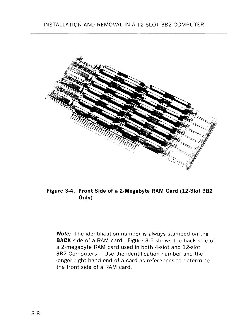

**Figure 3-4. Front Side of a 2-Megabyte RAM Card (12-Slot 3B2 Only)** 

**Note:** The identification number is always stamped on the **BACK** side of a RAM card. Figure 3-5 shows the back side of a 2-megabyte RAM card used in both 4-slot and 12-slot 382 Computers. Use the identification number and the longer right-hand end of a card as references to determine the front side of a RAM card.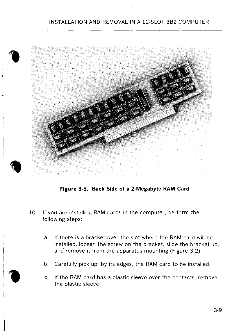#### INSTALLATION AND REMOVAL IN A 12-SLOT 3B2 COMPUTER



**Figure 3-5. Back Side of a 2-Megabyte RAM Card** 

- 10. If you are installing **RAM** cards in the computer, perform the following steps:
	- a. If there is a bracket over the slot where the RAM card will be installed, loosen the screw on the bracket, slide the bracket up, and remove it from the apparatus mounting (Figure 3-2).
	- b. Carefully pick up, by its edges, the RAM card to be installed.
	- c. If the RAM card has a plastic sleeve over the contacts, remove the plastic sleeve.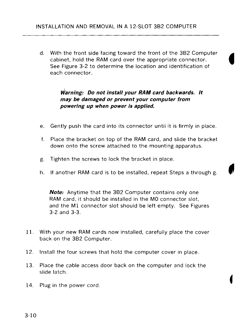d. With the front side facing toward the front of the 3B2 Computer cabinet, hold the RAM card over the appropriate connector.  $\blacksquare$ ee Figure 3-2 to determine the location and identification of each connector.

#### Warning: Do not install your RAM card backwards. It **may be damaged or prevent your computer from powering up when power is applied.**

- e. Gently push the card into its connector until it is firmly in place.
- f. Place the bracket on top of the RAM card, and slide the bracket down onto the screw attached to the mounting apparatus.
- g. Tighten the screws to lock the bracket in place.
- h. If another RAM card is to be installed, repeat Steps a through g.

**Note:** Anytime that the 382 Computer contains only one RAM card, it should be installed in the MO connector slot, and the M1 connector slot should be left empty. See Figures 3-2 and 3-3.

- 11. With your new RAM cards now installed, carefully place the cover back on the 382 Computer.
- 12. Install the four screws that hold the computer cover in place.
- 13. Place the cable access door back on the computer and lock the slide latch.
- 14. Plug in the power cord.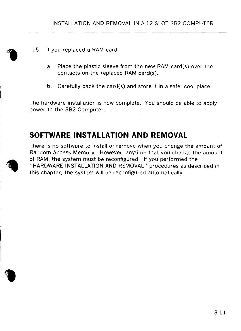- 15. If you replaced a RAM card:
	- a. Place the plastic sleeve from the new RAM card(s) over the contacts on the replaced RAM card(s).
	- b. Carefully pack the card(s) and store it in a safe, cool place.

The hardware installation is now complete. You should be able to apply power to the 3B2 Computer.

### **SOFTWARE INSTALLATION AND REMOVAL**

There is no software to install or remove when you change the amount of Random Access Memory. However, anytime that you change the amount of RAM, the system must be reconfigured. If you performed the "HARDWARE INSTALLATION AND REMOVAL" procedures as described in this chapter, the system will be reconfigured automatically.



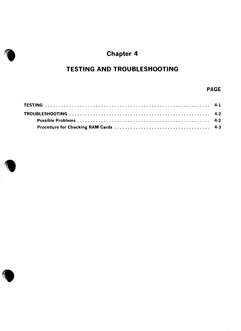# Chapter 4

### **TESTING AND TROUBLESHOOTING**

#### **PAGE**



**1**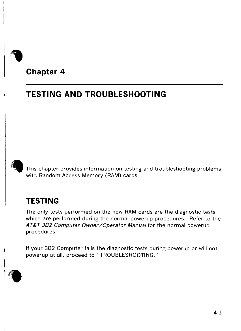# **Chapter 4**

# **TESTING AND TROUBLESHOOTING**



This chapter provides information on testing and troubleshooting problems with Random Access Memory **(RAM)** cards.

## **TESTING**

The only tests performed on the new RAM cards are the diagnostic tests which are performed during the normal powerup procedures. Refer to the AT&T 3B2 Computer Owner/Operator Manual for the normal powerup procedures.

If your 382 Computer fails the diagnostic tests during powerup or will not powerup at all, proceed to "TROUBLESHOOTING."

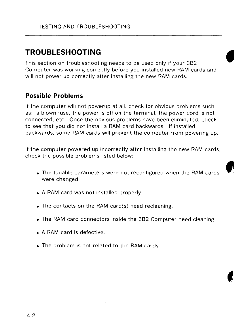# **TROUBLESHOOTING**

This section on troubleshooting needs to be used only if your 3B2 Computer was working correctly before you installed new RAM cards and will not power up correctly after installing the new RAM cards.

#### **Possible Problems**

If the computer will not powerup at all, check for obvious problems such as: a blown fuse, the power is off on the terminal, the power cord is not connected, etc. Once the obvious problems have been eliminated, check to see that you did not install a RAM card backwards. If installed backwards, some RAM cards will prevent the computer from powering up.

If the computer powered up incorrectly after installing the new RAM cards, check the possible problems listed below:

- The tunable parameters were not reconfigured when the RAM cards were changed.
- A RAM card was not installed properly.
- The contacts on the RAM card(s) need recleaning.
- The RAM card connectors inside the 3B2 Computer need cleaning.
- A RAM card is defective.
- The problem is not related to the RAM cards.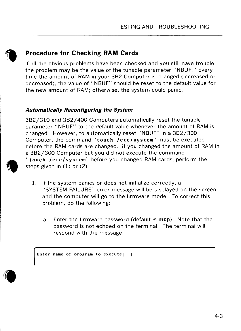

### **Procedure for Checking RAM Cards**

If all the obvious problems have been checked and you still have trouble, the problem may be the value of the tunable parameter "NBUF." Every time the amount of RAM in your 3B2 Computer is changed (increased or decreased), the value of "NBUF" should be reset to the default value for the new amount of RAM; otherwise, the system could panic.

#### **Automatically Reconfiguring the System**

 $\bigcirc$   $\bigcirc$   $\bigcirc$   $\bigcirc$   $\bigcirc$   $\bigcirc$   $\bigcirc$   $\bigcirc$   $\bigcirc$   $\bigcirc$   $\bigcirc$   $\bigcirc$   $\bigcirc$   $\bigcirc$   $\bigcirc$   $\bigcirc$   $\bigcirc$   $\bigcirc$   $\bigcirc$   $\bigcirc$   $\bigcirc$   $\bigcirc$   $\bigcirc$   $\bigcirc$   $\bigcirc$   $\bigcirc$   $\bigcirc$   $\bigcirc$   $\bigcirc$   $\bigcirc$   $\bigcirc$   $\bigcirc$   $\bigcirc$   $\bigcirc$   $\bigcirc$   $\bigcirc$   $\bigcirc$ 3B2/310 and 3B2/400 Computers automatically reset the tunable parameter "NBUF" to the default value whenever the amount of RAM is changed. However, to automatically reset "NBUF" in a 3B2/300 Computer, the command **"touch /etc/system"** must be executed before the RAM cards are changed. If you changed the amount of RAM in a 3B2/300 Computer but you did not execute the command **"touch /etc/system"** before you changed RAM cards, perform the steps given in (1) or (2):

- 1. If the system panics or does not initialize correctly, a "SYSTEM FAILURE" error message will be displayed on the screen, and the computer will go to the firmware mode. To correct this problem, do the following:
	- a. Enter the firmware password (default is **mcp).** Note that the password is not echoed on the terminal. The terminal will respond with the message:

Enter name of program to execute[]:

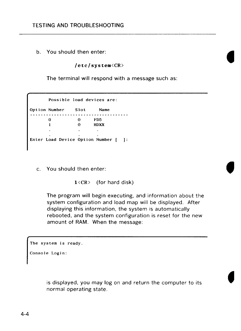b. You should then enter:

**/etc/system<CR>** 

The terminal will respond with a message such as:

Possible load devices are: Option Number Slot Name 0 0 FD5 0 **HDXX**   $\mathbf{1}$  $\mathbb{Z}^2$  $\sim$  $\sim$ Enter Load Device Option Number [ ]:

c. You should then enter:

**l<CR>** (for hard disk)

The program will begin executing, and information about the system configuration and load map will be displayed. After displaying this information, the system is automatically rebooted, and the system configuration is reset for the new amount of RAM. When the message:

The system is ready.

Console Login:

is displayed, you may log on and return the computer to its normal operating state.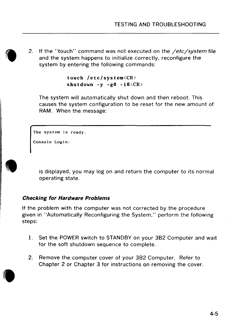$\bullet$ 2. If the "touch" command was not executed on the */etc/system* file and the system happens to initialize correctly, reconfigure the system by entering the following commands:

**touch /etc/system<CR>**  shutdown  $-y -g0 -i6 < CR$ 

The system will automatically shut down and then reboot. This causes the system configuration to be reset for the new amount of **RAM.** When the message:

The system is ready.

Console Login:



is displayed, you may log on and return the computer to its normal operating state.

#### **Checking for Hardware Problems**

If the problem with the computer was not corrected by the procedure given in "Automatically Reconfiguring the System," perform the following steps:

- 1. Set the POWER switch to STANDBY on your 382 Computer and wait for the soft shutdown sequence to complete.
- 2. Remove the computer cover of your 382 Computer. Refer to Chapter 2 or Chapter 3 for instructions on removing the cover.

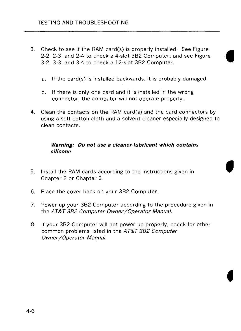- 3. Check to see if the RAM card(s) is properly installed. See Figure 2-2, 2-3, and 2-4 to check a 4-slot 3B2 Computer; and see Figure 3-2, 3-3, and 3-4 to check a 12-slot 3B2 Computer.
	- a. If the card(s) is installed backwards, it is probably damaged.
	- b. If there is only one card and it is installed in the wrong connector, the computer will not operate properly.
- **4.** Clean the contacts on the **RAM** card(s) and the card connectors by using a soft cotton cloth and a solvent cleaner especially designed to clean contacts.

#### **Warning: Do not use a cleaner-lubricant which contains silicone.**

- 5. Install the RAM cards according to the instructions given in Chapter 2 or Chapter 3.
- 6. Place the cover back on your 382 Computer.
- 7. Power up your 382 Computer according to the procedure given in the AT&T 382 Computer Owner /Operator Manual.
- 8. If your 382 Computer will not power up properly, check for other common problems listed in the AT&T 382 Computer Owner /Operator Manual.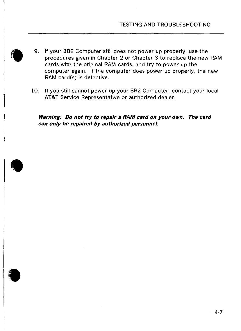- 9. If your 3B2 Computer still does not power up properly, use the procedures given in Chapter 2 or Chapter 3 to replace the new RAM cards with the original RAM cards, and try to power up the computer again. If the computer does power up properly, the new RAM card(s) is defective.
	- 10. If you still cannot power up your 3B2 Computer, contact your local AT&T Service Representative or authorized dealer.

**Warning: Do not try to repair a RAM card on your own. The card**  can only be repaired by authorized personnel.

 $\blacksquare$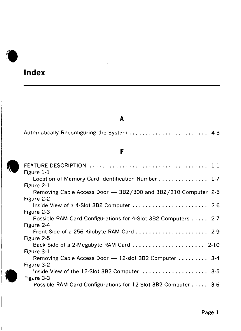# **Index**

 $\sqrt{2}$ 

### **A**

|  |  |  | Automatically Reconfiguring the System  4-3 |  |  |
|--|--|--|---------------------------------------------|--|--|
|--|--|--|---------------------------------------------|--|--|

### **F**

| r                                                                                                               |
|-----------------------------------------------------------------------------------------------------------------|
| Figure 1-1                                                                                                      |
| Location of Memory Card Identification Number  1-7                                                              |
| Figure 2-1<br>Removing Cable Access Door - 3B2/300 and 3B2/310 Computer 2-5                                     |
| Figure 2-2<br>Inside View of a 4-Slot 3B2 Computer  2-6<br>Figure 2-3                                           |
| Possible RAM Card Configurations for 4-Slot 3B2 Computers  2-7<br>Figure 2-4                                    |
| Front Side of a 256-Kilobyte RAM Card  2-9                                                                      |
| Figure 2-5<br>Back Side of a 2-Megabyte RAM Card $\ldots \ldots \ldots \ldots \ldots \ldots$ 2-10<br>Figure 3-1 |
| Removing Cable Access Door - 12-slot 3B2 Computer  3-4<br>Figure 3-2                                            |
| Inside View of the 12-Slot 3B2 Computer  3-5                                                                    |
| Figure 3-3<br>Possible RAM Card Configurations for 12-Slot 3B2 Computer 3-6                                     |
|                                                                                                                 |

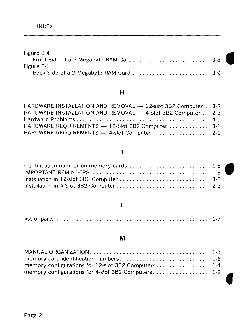| Figure 3-4                              |  |
|-----------------------------------------|--|
|                                         |  |
| Figure 3-5                              |  |
| Back Side of a 2-Megabyte RAM Card  3-9 |  |

### **H**

| HARDWARE INSTALLATION AND REMOVAL - 12-slot 3B2 Computer . 3-2 |  |
|----------------------------------------------------------------|--|
| HARDWARE INSTALLATION AND REMOVAL - 4-Slot 3B2 Computer . 2-3  |  |
|                                                                |  |
| HARDWARE REQUIREMENTS - 12-Slot 3B2 Computer  3-1              |  |
| HARDWARE REQUIREMENTS - 4-slot Computer 2-1                    |  |

### $\mathbf{I}$

### **L**

|--|--|--|--|--|

### **M**

| memory configurations for 12-slot 3B2 Computers 1-4 |  |
|-----------------------------------------------------|--|
| memory configurations for 4-slot 3B2 Computers 1-2  |  |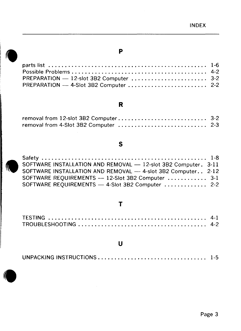# **Parry Post**<br>Post PRI parts list . . . . . . . • • . . . . . . . • • • • . . . • • • . . . . . • . . . . . . . . . . . . . . . . 1-6 Possible Problems . . . . . . . . . . . . . . . . • • . . . . . . . . . . . . . . . . . . . . . . . 4-2 PREPARATION - 12-slot 382 Computer ..•••.................. 3-2 PREPARATION - 4-Slot 3B2 Computer .........................

#### **R**

**p** 

#### **s**

| SOFTWARE INSTALLATION AND REMOVAL - 12-slot 3B2 Computer. 3-11 |  |
|----------------------------------------------------------------|--|
| SOFTWARE INSTALLATION AND REMOVAL - 4-slot 3B2 Computer 2-12   |  |
| SOFTWARE REQUIREMENTS - 12-Slot 3B2 Computer  3-1              |  |
| SOFTWARE REQUIREMENTS - 4-Slot 3B2 Computer  2-2               |  |

#### **T**

#### **u**

| $\begin{pmatrix} 1 & 1 \\ 1 & 1 \end{pmatrix}$ |  |
|------------------------------------------------|--|
|                                                |  |
|                                                |  |

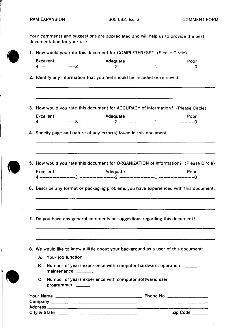records<br>and the cord of the cord of the cord of the cord of the cord of the cord of the cord of the cord of the cord o<br>and the cord of the cord of the cord of the cord of the cord of the cord of the cord of the cord of the

|                             |                                                                                                                                | 1. How would you rate this document for COMPLETENESS? (Please Circle) |  |  |
|-----------------------------|--------------------------------------------------------------------------------------------------------------------------------|-----------------------------------------------------------------------|--|--|
| Excellent                   | Adequate                                                                                                                       | Poor                                                                  |  |  |
|                             | 2. Identify any information that you feel should be included or removed.                                                       |                                                                       |  |  |
|                             | 3. How would you rate this document for ACCURACY of information? (Please Circle)                                               |                                                                       |  |  |
| Excellent                   | Adequate                                                                                                                       | Poor                                                                  |  |  |
|                             | 4. Specify page and nature of any error(s) found in this document.                                                             |                                                                       |  |  |
|                             | 5. How would you rate this document for ORGANIZATION of information? (Please Circle)                                           |                                                                       |  |  |
| <b>Excellent</b>            | Adequate                                                                                                                       | Poor                                                                  |  |  |
|                             | 6. Describe any format or packaging problems you have experienced with this document.                                          |                                                                       |  |  |
|                             |                                                                                                                                |                                                                       |  |  |
|                             | 7. Do you have any general comments or suggestions regarding this document?                                                    |                                                                       |  |  |
|                             | 8. We would like to know a little about your background as a user of this document:                                            |                                                                       |  |  |
| В.<br>maintenance ________. | A. Your job function ______________________________<br>Number of years experience with computer hardware: operation _________. |                                                                       |  |  |
| programmer ________.        | C. Number of years experience with computer software: user ________.                                                           |                                                                       |  |  |
|                             |                                                                                                                                |                                                                       |  |  |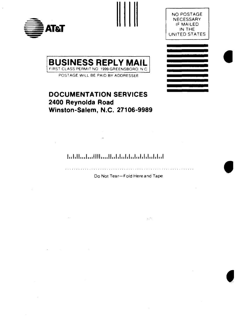





**e** 

**•** 



POST AGE WILL BE PAID BY ADDRESSEE

### **DOCUMENTATION SERVICES 2400 Reynalda Road Winston-Salem, N.C. 27106-9989**

#### **l,,l,ll,,,l,,,llll,,,,11,,l,l,,l,l,,l,,l,l,l,,l,l,,I**

and a construction of the Do Not Tear-Fold Here and Tape

ager.